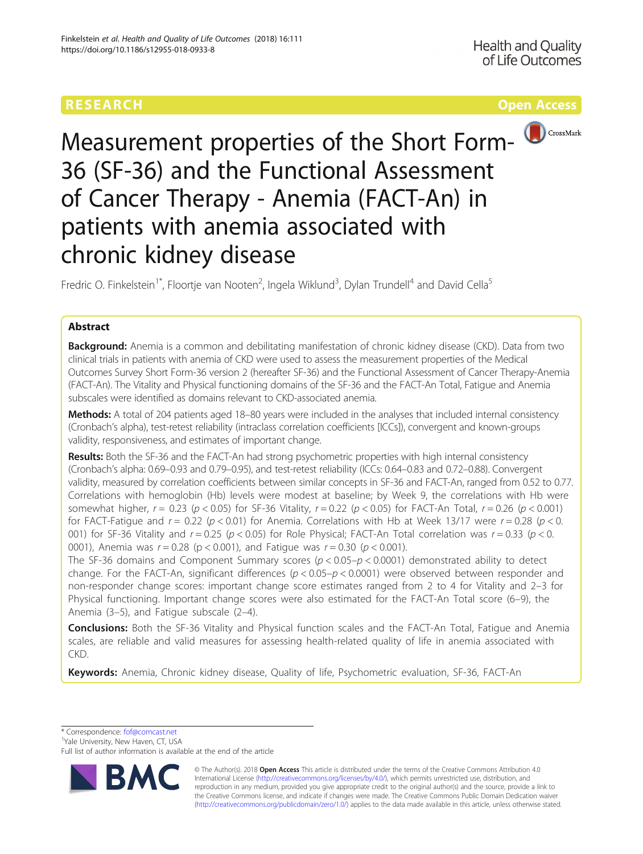# **RESEARCH CHE Open Access CHE Open Access**



Measurement properties of the Short Form-36 (SF-36) and the Functional Assessment of Cancer Therapy - Anemia (FACT-An) in patients with anemia associated with chronic kidney disease

Fredric O. Finkelstein<sup>1\*</sup>, Floortje van Nooten<sup>2</sup>, Ingela Wiklund<sup>3</sup>, Dylan Trundell<sup>4</sup> and David Cella<sup>5</sup>

# Abstract

Background: Anemia is a common and debilitating manifestation of chronic kidney disease (CKD). Data from two clinical trials in patients with anemia of CKD were used to assess the measurement properties of the Medical Outcomes Survey Short Form-36 version 2 (hereafter SF-36) and the Functional Assessment of Cancer Therapy-Anemia (FACT-An). The Vitality and Physical functioning domains of the SF-36 and the FACT-An Total, Fatigue and Anemia subscales were identified as domains relevant to CKD-associated anemia.

Methods: A total of 204 patients aged 18–80 years were included in the analyses that included internal consistency (Cronbach's alpha), test-retest reliability (intraclass correlation coefficients [ICCs]), convergent and known-groups validity, responsiveness, and estimates of important change.

Results: Both the SF-36 and the FACT-An had strong psychometric properties with high internal consistency (Cronbach's alpha: 0.69–0.93 and 0.79–0.95), and test-retest reliability (ICCs: 0.64–0.83 and 0.72–0.88). Convergent validity, measured by correlation coefficients between similar concepts in SF-36 and FACT-An, ranged from 0.52 to 0.77. Correlations with hemoglobin (Hb) levels were modest at baseline; by Week 9, the correlations with Hb were somewhat higher,  $r = 0.23$  ( $p < 0.05$ ) for SF-36 Vitality,  $r = 0.22$  ( $p < 0.05$ ) for FACT-An Total,  $r = 0.26$  ( $p < 0.001$ ) for FACT-Fatigue and  $r = 0.22$  ( $p < 0.01$ ) for Anemia. Correlations with Hb at Week 13/17 were  $r = 0.28$  ( $p < 0$ . 001) for SF-36 Vitality and  $r = 0.25$  ( $p < 0.05$ ) for Role Physical; FACT-An Total correlation was  $r = 0.33$  ( $p < 0$ . 0001), Anemia was  $r = 0.28$  (p < 0.001), and Fatigue was  $r = 0.30$  (p < 0.001).

The SF-36 domains and Component Summary scores ( $p < 0.05-p < 0.0001$ ) demonstrated ability to detect change. For the FACT-An, significant differences ( $p < 0.05-p < 0.0001$ ) were observed between responder and non-responder change scores: important change score estimates ranged from 2 to 4 for Vitality and 2–3 for Physical functioning. Important change scores were also estimated for the FACT-An Total score (6–9), the Anemia (3–5), and Fatigue subscale (2–4).

Conclusions: Both the SF-36 Vitality and Physical function scales and the FACT-An Total, Fatigue and Anemia scales, are reliable and valid measures for assessing health-related quality of life in anemia associated with CKD.

Keywords: Anemia, Chronic kidney disease, Quality of life, Psychometric evaluation, SF-36, FACT-An

\* Correspondence: [fof@comcast.net](mailto:fof@comcast.net) <sup>1</sup>

<sup>1</sup>Yale University, New Haven, CT, USA

Full list of author information is available at the end of the article



© The Author(s). 2018 Open Access This article is distributed under the terms of the Creative Commons Attribution 4.0 International License [\(http://creativecommons.org/licenses/by/4.0/](http://creativecommons.org/licenses/by/4.0/)), which permits unrestricted use, distribution, and reproduction in any medium, provided you give appropriate credit to the original author(s) and the source, provide a link to the Creative Commons license, and indicate if changes were made. The Creative Commons Public Domain Dedication waiver [\(http://creativecommons.org/publicdomain/zero/1.0/](http://creativecommons.org/publicdomain/zero/1.0/)) applies to the data made available in this article, unless otherwise stated.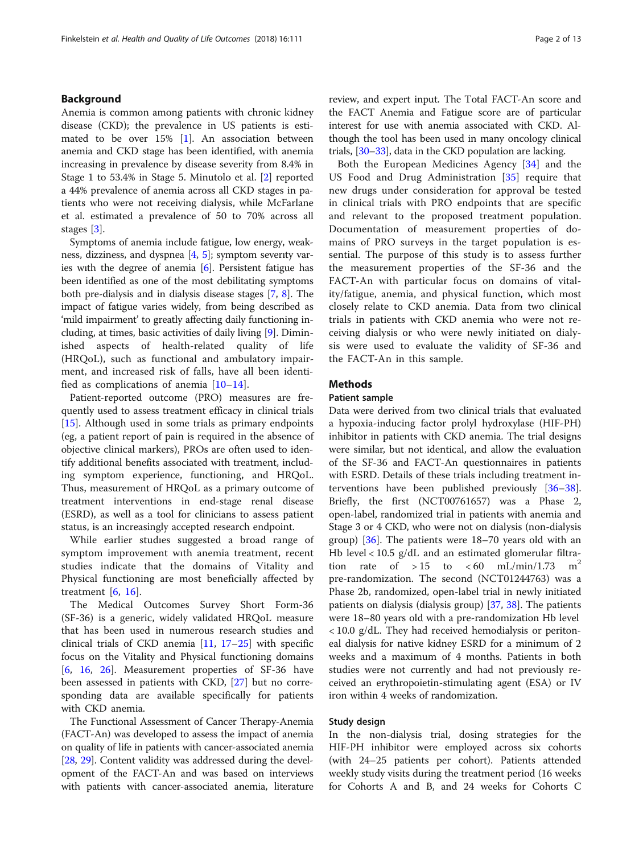# Background

Anemia is common among patients with chronic kidney disease (CKD); the prevalence in US patients is estimated to be over  $15\%$  [[1\]](#page-10-0). An association between anemia and CKD stage has been identified, with anemia increasing in prevalence by disease severity from 8.4% in Stage 1 to 53.4% in Stage 5. Minutolo et al. [\[2](#page-10-0)] reported a 44% prevalence of anemia across all CKD stages in patients who were not receiving dialysis, while McFarlane et al. estimated a prevalence of 50 to 70% across all stages [\[3\]](#page-10-0).

Symptoms of anemia include fatigue, low energy, weakness, dizziness, and dyspnea [\[4,](#page-10-0) [5](#page-10-0)]; symptom severıty varies wıth the degree of anemia [[6](#page-10-0)]. Persistent fatigue has been identified as one of the most debilitating symptoms both pre-dialysis and in dialysis disease stages [[7,](#page-10-0) [8\]](#page-10-0). The impact of fatigue varies widely, from being described as 'mild impairment' to greatly affecting daily functioning including, at times, basic activities of daily living [[9\]](#page-10-0). Diminished aspects of health-related quality of life (HRQoL), such as functional and ambulatory impairment, and increased risk of falls, have all been identified as complications of anemia [[10](#page-10-0)–[14\]](#page-11-0).

Patient-reported outcome (PRO) measures are frequently used to assess treatment efficacy in clinical trials [[15\]](#page-11-0). Although used in some trials as primary endpoints (eg, a patient report of pain is required in the absence of objective clinical markers), PROs are often used to identify additional benefits associated with treatment, including symptom experience, functioning, and HRQoL. Thus, measurement of HRQoL as a primary outcome of treatment interventions in end-stage renal disease (ESRD), as well as a tool for clinicians to assess patient status, is an increasingly accepted research endpoint.

While earlier studıes suggested a broad range of symptom improvement wıth anemia treatment, recent studies indicate that the domains of Vitality and Physical functioning are most beneficially affected by treatment [[6,](#page-10-0) [16\]](#page-11-0).

The Medical Outcomes Survey Short Form-36 (SF-36) is a generic, widely validated HRQoL measure that has been used in numerous research studies and clinical trials of CKD anemia [\[11](#page-10-0), [17](#page-11-0)–[25](#page-11-0)] with specific focus on the Vitality and Physical functioning domains [[6,](#page-10-0) [16,](#page-11-0) [26\]](#page-11-0). Measurement properties of SF-36 have been assessed in patients with CKD, [[27\]](#page-11-0) but no corresponding data are available specifically for patients with CKD anemia.

The Functional Assessment of Cancer Therapy-Anemia (FACT-An) was developed to assess the impact of anemia on quality of life in patients with cancer-associated anemia [[28](#page-11-0), [29](#page-11-0)]. Content validity was addressed during the development of the FACT-An and was based on interviews with patients with cancer-associated anemia, literature review, and expert input. The Total FACT-An score and the FACT Anemia and Fatigue score are of particular interest for use with anemia associated with CKD. Although the tool has been used in many oncology clinical trials, [\[30](#page-11-0)–[33](#page-11-0)], data in the CKD population are lacking.

Both the European Medicines Agency [[34](#page-11-0)] and the US Food and Drug Administration [\[35](#page-11-0)] require that new drugs under consideration for approval be tested in clinical trials with PRO endpoints that are specific and relevant to the proposed treatment population. Documentation of measurement properties of domains of PRO surveys in the target population is essential. The purpose of this study is to assess further the measurement properties of the SF-36 and the FACT-An with particular focus on domains of vitality/fatigue, anemia, and physical function, which most closely relate to CKD anemia. Data from two clinical trials in patients with CKD anemia who were not receiving dialysis or who were newly initiated on dialysis were used to evaluate the validity of SF-36 and the FACT-An in this sample.

# Methods

# Patient sample

Data were derived from two clinical trials that evaluated a hypoxia-inducing factor prolyl hydroxylase (HIF-PH) inhibitor in patients with CKD anemia. The trial designs were similar, but not identical, and allow the evaluation of the SF-36 and FACT-An questionnaires in patients with ESRD. Details of these trials including treatment interventions have been published previously [[36](#page-11-0)–[38](#page-11-0)]. Briefly, the first (NCT00761657) was a Phase 2, open-label, randomized trial in patients with anemia and Stage 3 or 4 CKD, who were not on dialysis (non-dialysis group) [[36\]](#page-11-0). The patients were 18–70 years old with an Hb level < 10.5 g/dL and an estimated glomerular filtration rate of  $> 15$  to  $< 60$  mL/min/1.73 m<sup>2</sup> pre-randomization. The second (NCT01244763) was a Phase 2b, randomized, open-label trial in newly initiated patients on dialysis (dialysis group) [\[37](#page-11-0), [38\]](#page-11-0). The patients were 18–80 years old with a pre-randomization Hb level < 10.0 g/dL. They had received hemodialysis or peritoneal dialysis for native kidney ESRD for a minimum of 2 weeks and a maximum of 4 months. Patients in both studies were not currently and had not previously received an erythropoietin-stimulating agent (ESA) or IV iron within 4 weeks of randomization.

# Study design

In the non-dialysis trial, dosing strategies for the HIF-PH inhibitor were employed across six cohorts (with 24–25 patients per cohort). Patients attended weekly study visits during the treatment period (16 weeks for Cohorts A and B, and 24 weeks for Cohorts C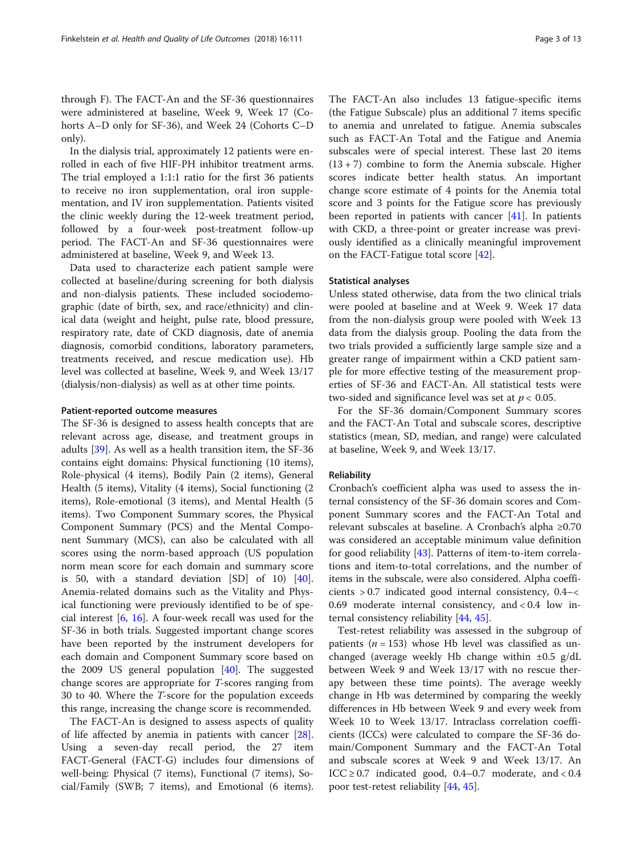through F). The FACT-An and the SF-36 questionnaires were administered at baseline, Week 9, Week 17 (Cohorts A–D only for SF-36), and Week 24 (Cohorts C–D only).

In the dialysis trial, approximately 12 patients were enrolled in each of five HIF-PH inhibitor treatment arms. The trial employed a 1:1:1 ratio for the first 36 patients to receive no iron supplementation, oral iron supplementation, and IV iron supplementation. Patients visited the clinic weekly during the 12-week treatment period, followed by a four-week post-treatment follow-up period. The FACT-An and SF-36 questionnaires were administered at baseline, Week 9, and Week 13.

Data used to characterize each patient sample were collected at baseline/during screening for both dialysis and non-dialysis patients. These included sociodemographic (date of birth, sex, and race/ethnicity) and clinical data (weight and height, pulse rate, blood pressure, respiratory rate, date of CKD diagnosis, date of anemia diagnosis, comorbid conditions, laboratory parameters, treatments received, and rescue medication use). Hb level was collected at baseline, Week 9, and Week 13/17 (dialysis/non-dialysis) as well as at other time points.

#### Patient-reported outcome measures

The SF-36 is designed to assess health concepts that are relevant across age, disease, and treatment groups in adults [\[39](#page-11-0)]. As well as a health transition item, the SF-36 contains eight domains: Physical functioning (10 items), Role-physical (4 items), Bodily Pain (2 items), General Health (5 items), Vitality (4 items), Social functioning (2 items), Role-emotional (3 items), and Mental Health (5 items). Two Component Summary scores, the Physical Component Summary (PCS) and the Mental Component Summary (MCS), can also be calculated with all scores using the norm-based approach (US population norm mean score for each domain and summary score is 50, with a standard deviation [SD] of 10) [\[40](#page-11-0)]. Anemia-related domains such as the Vitality and Physical functioning were previously identified to be of special interest [\[6](#page-10-0), [16\]](#page-11-0). A four-week recall was used for the SF-36 in both trials. Suggested important change scores have been reported by the instrument developers for each domain and Component Summary score based on the 2009 US general population [[40\]](#page-11-0). The suggested change scores are appropriate for T-scores ranging from 30 to 40. Where the T-score for the population exceeds this range, increasing the change score is recommended.

The FACT-An is designed to assess aspects of quality of life affected by anemia in patients with cancer [\[28](#page-11-0)]. Using a seven-day recall period, the 27 item FACT-General (FACT-G) includes four dimensions of well-being: Physical (7 items), Functional (7 items), Social/Family (SWB; 7 items), and Emotional (6 items). The FACT-An also includes 13 fatigue-specific items (the Fatigue Subscale) plus an additional 7 items specific to anemia and unrelated to fatigue. Anemia subscales such as FACT-An Total and the Fatigue and Anemia subscales were of special interest. These last 20 items  $(13 + 7)$  combine to form the Anemia subscale. Higher scores indicate better health status. An important change score estimate of 4 points for the Anemia total score and 3 points for the Fatigue score has previously been reported in patients with cancer [[41](#page-11-0)]. In patients with CKD, a three-point or greater increase was previously identified as a clinically meaningful improvement on the FACT-Fatigue total score [\[42](#page-11-0)].

#### Statistical analyses

Unless stated otherwise, data from the two clinical trials were pooled at baseline and at Week 9. Week 17 data from the non-dialysis group were pooled with Week 13 data from the dialysis group. Pooling the data from the two trials provided a sufficiently large sample size and a greater range of impairment within a CKD patient sample for more effective testing of the measurement properties of SF-36 and FACT-An. All statistical tests were two-sided and significance level was set at  $p < 0.05$ .

For the SF-36 domain/Component Summary scores and the FACT-An Total and subscale scores, descriptive statistics (mean, SD, median, and range) were calculated at baseline, Week 9, and Week 13/17.

#### Reliability

Cronbach's coefficient alpha was used to assess the internal consistency of the SF-36 domain scores and Component Summary scores and the FACT-An Total and relevant subscales at baseline. A Cronbach's alpha ≥0.70 was considered an acceptable minimum value definition for good reliability [\[43](#page-11-0)]. Patterns of item-to-item correlations and item-to-total correlations, and the number of items in the subscale, were also considered. Alpha coefficients > 0.7 indicated good internal consistency, 0.4–< 0.69 moderate internal consistency, and < 0.4 low internal consistency reliability [\[44,](#page-11-0) [45\]](#page-11-0).

Test-retest reliability was assessed in the subgroup of patients ( $n = 153$ ) whose Hb level was classified as unchanged (average weekly Hb change within  $\pm 0.5$  g/dL between Week 9 and Week 13/17 with no rescue therapy between these time points). The average weekly change in Hb was determined by comparing the weekly differences in Hb between Week 9 and every week from Week 10 to Week 13/17. Intraclass correlation coefficients (ICCs) were calculated to compare the SF-36 domain/Component Summary and the FACT-An Total and subscale scores at Week 9 and Week 13/17. An ICC  $\geq$  0.7 indicated good, 0.4–0.7 moderate, and < 0.4 poor test-retest reliability [\[44](#page-11-0), [45\]](#page-11-0).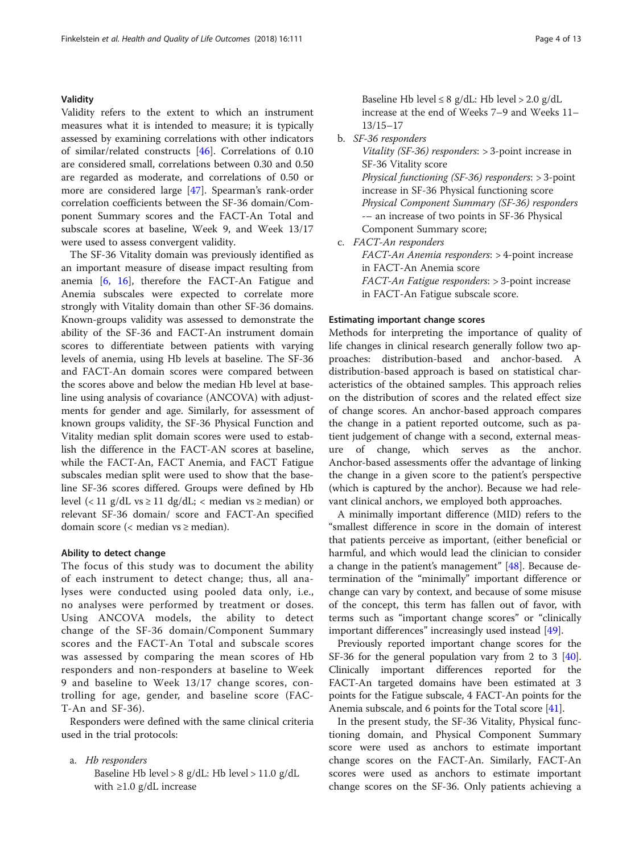# Validity

Validity refers to the extent to which an instrument measures what it is intended to measure; it is typically assessed by examining correlations with other indicators of similar/related constructs [[46](#page-11-0)]. Correlations of 0.10 are considered small, correlations between 0.30 and 0.50 are regarded as moderate, and correlations of 0.50 or more are considered large [\[47](#page-11-0)]. Spearman's rank-order correlation coefficients between the SF-36 domain/Component Summary scores and the FACT-An Total and subscale scores at baseline, Week 9, and Week 13/17 were used to assess convergent validity.

The SF-36 Vitality domain was previously identified as an important measure of disease impact resulting from anemia [[6](#page-10-0), [16\]](#page-11-0), therefore the FACT-An Fatigue and Anemia subscales were expected to correlate more strongly with Vitality domain than other SF-36 domains. Known-groups validity was assessed to demonstrate the ability of the SF-36 and FACT-An instrument domain scores to differentiate between patients with varying levels of anemia, using Hb levels at baseline. The SF-36 and FACT-An domain scores were compared between the scores above and below the median Hb level at baseline using analysis of covariance (ANCOVA) with adjustments for gender and age. Similarly, for assessment of known groups validity, the SF-36 Physical Function and Vitality median split domain scores were used to establish the difference in the FACT-AN scores at baseline, while the FACT-An, FACT Anemia, and FACT Fatigue subscales median split were used to show that the baseline SF-36 scores differed. Groups were defined by Hb level  $\langle$  < 11 g/dL vs  $\geq$  11 dg/dL;  $\langle$  median vs  $\geq$  median) or relevant SF-36 domain/ score and FACT-An specified domain score (< median vs ≥ median).

# Ability to detect change

The focus of this study was to document the ability of each instrument to detect change; thus, all analyses were conducted using pooled data only, i.e., no analyses were performed by treatment or doses. Using ANCOVA models, the ability to detect change of the SF-36 domain/Component Summary scores and the FACT-An Total and subscale scores was assessed by comparing the mean scores of Hb responders and non-responders at baseline to Week 9 and baseline to Week 13/17 change scores, controlling for age, gender, and baseline score (FAC-T-An and SF-36).

Responders were defined with the same clinical criteria used in the trial protocols:

# a. Hb responders

Baseline Hb level > 8 g/dL: Hb level > 11.0 g/dL with  $\geq 1.0$  g/dL increase

Baseline Hb level  $\leq 8$  g/dL: Hb level  $> 2.0$  g/dL increase at the end of Weeks 7–9 and Weeks 11– 13/15–17

b. SF-36 responders

Vitality (SF-36) responders: > 3-point increase in SF-36 Vitality score Physical functioning (SF-36) responders: > 3-point increase in SF-36 Physical functioning score Physical Component Summary (SF-36) responders -– an increase of two points in SF-36 Physical Component Summary score;

c. FACT-An responders

FACT-An Anemia responders: > 4-point increase in FACT-An Anemia score

FACT-An Fatigue responders: > 3-point increase in FACT-An Fatigue subscale score.

# Estimating important change scores

Methods for interpreting the importance of quality of life changes in clinical research generally follow two approaches: distribution-based and anchor-based. A distribution-based approach is based on statistical characteristics of the obtained samples. This approach relies on the distribution of scores and the related effect size of change scores. An anchor-based approach compares the change in a patient reported outcome, such as patient judgement of change with a second, external measure of change, which serves as the anchor. Anchor-based assessments offer the advantage of linking the change in a given score to the patient's perspective (which is captured by the anchor). Because we had relevant clinical anchors, we employed both approaches.

A minimally important difference (MID) refers to the "smallest difference in score in the domain of interest that patients perceive as important, (either beneficial or harmful, and which would lead the clinician to consider a change in the patient's management" [\[48\]](#page-11-0). Because determination of the "minimally" important difference or change can vary by context, and because of some misuse of the concept, this term has fallen out of favor, with terms such as "important change scores" or "clinically important differences" increasingly used instead [\[49\]](#page-11-0).

Previously reported important change scores for the SF-36 for the general population vary from 2 to 3 [[40](#page-11-0)]. Clinically important differences reported for the FACT-An targeted domains have been estimated at 3 points for the Fatigue subscale, 4 FACT-An points for the Anemia subscale, and 6 points for the Total score [\[41\]](#page-11-0).

In the present study, the SF-36 Vitality, Physical functioning domain, and Physical Component Summary score were used as anchors to estimate important change scores on the FACT-An. Similarly, FACT-An scores were used as anchors to estimate important change scores on the SF-36. Only patients achieving a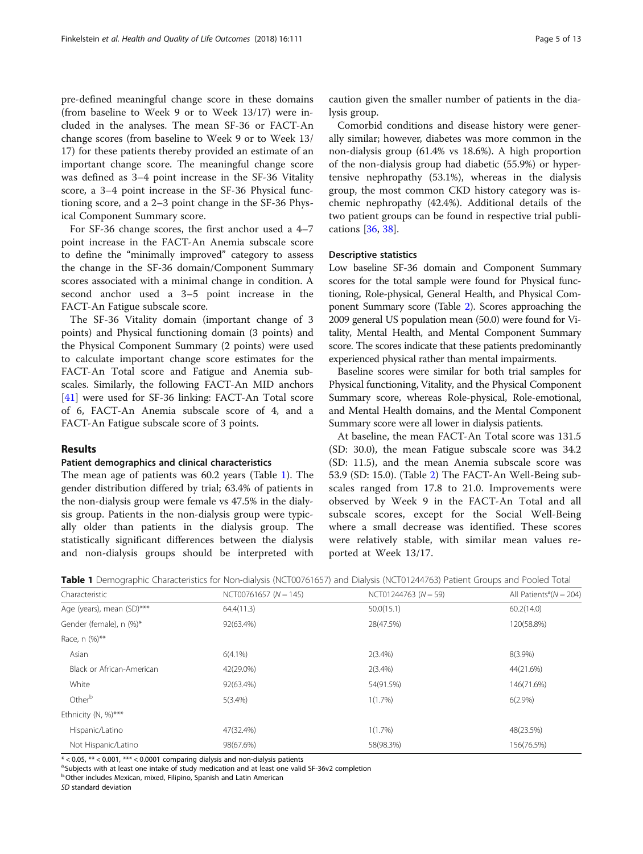pre-defined meaningful change score in these domains (from baseline to Week 9 or to Week 13/17) were included in the analyses. The mean SF-36 or FACT-An change scores (from baseline to Week 9 or to Week 13/ 17) for these patients thereby provided an estimate of an important change score. The meaningful change score was defined as 3–4 point increase in the SF-36 Vitality score, a 3–4 point increase in the SF-36 Physical functioning score, and a 2–3 point change in the SF-36 Physical Component Summary score.

For SF-36 change scores, the first anchor used a 4–7 point increase in the FACT-An Anemia subscale score to define the "minimally improved" category to assess the change in the SF-36 domain/Component Summary scores associated with a minimal change in condition. A second anchor used a 3–5 point increase in the FACT-An Fatigue subscale score.

The SF-36 Vitality domain (important change of 3 points) and Physical functioning domain (3 points) and the Physical Component Summary (2 points) were used to calculate important change score estimates for the FACT-An Total score and Fatigue and Anemia subscales. Similarly, the following FACT-An MID anchors [[41\]](#page-11-0) were used for SF-36 linking: FACT-An Total score of 6, FACT-An Anemia subscale score of 4, and a FACT-An Fatigue subscale score of 3 points.

#### Results

# Patient demographics and clinical characteristics

The mean age of patients was 60.2 years (Table 1). The gender distribution differed by trial; 63.4% of patients in the non-dialysis group were female vs 47.5% in the dialysis group. Patients in the non-dialysis group were typically older than patients in the dialysis group. The statistically significant differences between the dialysis and non-dialysis groups should be interpreted with

caution given the smaller number of patients in the dialysis group.

Comorbid conditions and disease history were generally similar; however, diabetes was more common in the non-dialysis group (61.4% vs 18.6%). A high proportion of the non-dialysis group had diabetic (55.9%) or hypertensive nephropathy (53.1%), whereas in the dialysis group, the most common CKD history category was ischemic nephropathy (42.4%). Additional details of the two patient groups can be found in respective trial publications [[36,](#page-11-0) [38](#page-11-0)].

### Descriptive statistics

Low baseline SF-36 domain and Component Summary scores for the total sample were found for Physical functioning, Role-physical, General Health, and Physical Component Summary score (Table [2](#page-5-0)). Scores approaching the 2009 general US population mean (50.0) were found for Vitality, Mental Health, and Mental Component Summary score. The scores indicate that these patients predominantly experienced physical rather than mental impairments.

Baseline scores were similar for both trial samples for Physical functioning, Vitality, and the Physical Component Summary score, whereas Role-physical, Role-emotional, and Mental Health domains, and the Mental Component Summary score were all lower in dialysis patients.

At baseline, the mean FACT-An Total score was 131.5 (SD: 30.0), the mean Fatigue subscale score was 34.2 (SD: 11.5), and the mean Anemia subscale score was 53.9 (SD: 15.0). (Table [2](#page-5-0)) The FACT-An Well-Being subscales ranged from 17.8 to 21.0. Improvements were observed by Week 9 in the FACT-An Total and all subscale scores, except for the Social Well-Being where a small decrease was identified. These scores were relatively stable, with similar mean values reported at Week 13/17.

|  |  |  | Table 1 Demographic Characteristics for Non-dialysis (NCT00761657) and Dialysis (NCT01244763) Patient Groups and Pooled Total |  |
|--|--|--|-------------------------------------------------------------------------------------------------------------------------------|--|
|  |  |  |                                                                                                                               |  |

| Characteristic            | NCT00761657 ( $N = 145$ ) | NCT01244763 ( $N = 59$ ) | All Patients <sup>a</sup> ( $N = 204$ ) |
|---------------------------|---------------------------|--------------------------|-----------------------------------------|
| Age (years), mean (SD)*** | 64.4(11.3)                | 50.0(15.1)               | 60.2(14.0)                              |
| Gender (female), n (%)*   | 92(63.4%)                 | 28(47.5%)                | 120(58.8%)                              |
| Race, n (%)**             |                           |                          |                                         |
| Asian                     | $6(4.1\%)$                | $2(3.4\%)$               | $8(3.9\%)$                              |
| Black or African-American | 42(29.0%)                 | $2(3.4\%)$               | 44(21.6%)                               |
| White                     | 92(63.4%)                 | 54(91.5%)                | 146(71.6%)                              |
| Other <sup>b</sup>        | $5(3.4\%)$                | $1(1.7\%)$               | $6(2.9\%)$                              |
| Ethnicity (N, %)***       |                           |                          |                                         |
| Hispanic/Latino           | 47(32.4%)                 | 1(1.7%)                  | 48(23.5%)                               |
| Not Hispanic/Latino       | 98(67.6%)                 | 58(98.3%)                | 156(76.5%)                              |

 $* < 0.05$  ,  $^{**} < 0.001$  ,  $^{***} < 0.0001$  comparing dialysis and non-dialysis patients

a.Subjects with at least one intake of study medication and at least one valid SF-36v2 completion

b.Other includes Mexican, mixed, Filipino, Spanish and Latin American

SD standard deviation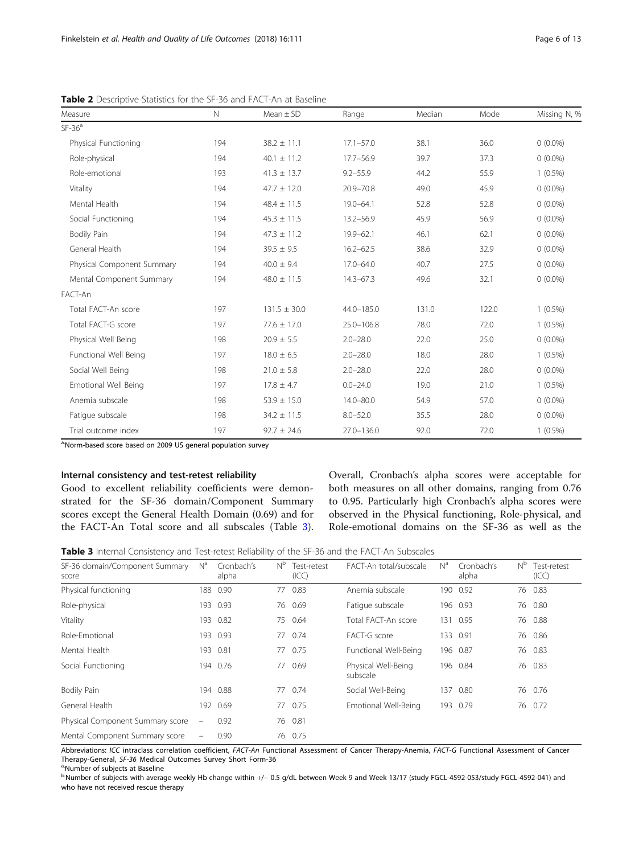| Measure                    | $\mathbb N$ | $Mean \pm SD$    | Range          | Median | Mode  | Missing N, % |
|----------------------------|-------------|------------------|----------------|--------|-------|--------------|
| $SF-36a$                   |             |                  |                |        |       |              |
| Physical Functioning       | 194         | $38.2 \pm 11.1$  | $17.1 - 57.0$  | 38.1   | 36.0  | $0(0.0\%)$   |
| Role-physical              | 194         | $40.1 \pm 11.2$  | $17.7 - 56.9$  | 39.7   | 37.3  | $0(0.0\%)$   |
| Role-emotional             | 193         | $41.3 \pm 13.7$  | $9.2 - 55.9$   | 44.2   | 55.9  | $1(0.5\%)$   |
| Vitality                   | 194         | $47.7 \pm 12.0$  | 20.9-70.8      | 49.0   | 45.9  | $0(0.0\%)$   |
| Mental Health              | 194         | $48.4 \pm 11.5$  | $19.0 - 64.1$  | 52.8   | 52.8  | $0(0.0\%)$   |
| Social Functioning         | 194         | $45.3 \pm 11.5$  | 13.2-56.9      | 45.9   | 56.9  | $0(0.0\%)$   |
| <b>Bodily Pain</b>         | 194         | $47.3 \pm 11.2$  | $19.9 - 62.1$  | 46.1   | 62.1  | $0(0.0\%)$   |
| General Health             | 194         | $39.5 \pm 9.5$   | $16.2 - 62.5$  | 38.6   | 32.9  | $0(0.0\%)$   |
| Physical Component Summary | 194         | $40.0 \pm 9.4$   | $17.0 - 64.0$  | 40.7   | 27.5  | $0(0.0\%)$   |
| Mental Component Summary   | 194         | $48.0 \pm 11.5$  | $14.3 - 67.3$  | 49.6   | 32.1  | $0(0.0\%)$   |
| FACT-An                    |             |                  |                |        |       |              |
| Total FACT-An score        | 197         | $131.5 \pm 30.0$ | 44.0-185.0     | 131.0  | 122.0 | $1(0.5\%)$   |
| Total FACT-G score         | 197         | $77.6 \pm 17.0$  | $25.0 - 106.8$ | 78.0   | 72.0  | $1(0.5\%)$   |
| Physical Well Being        | 198         | $20.9 \pm 5.5$   | $2.0 - 28.0$   | 22.0   | 25.0  | $0(0.0\%)$   |
| Functional Well Being      | 197         | $18.0 \pm 6.5$   | $2.0 - 28.0$   | 18.0   | 28.0  | $1(0.5\%)$   |
| Social Well Being          | 198         | $21.0 \pm 5.8$   | $2.0 - 28.0$   | 22.0   | 28.0  | $0(0.0\%)$   |
| Emotional Well Being       | 197         | $17.8 \pm 4.7$   | $0.0 - 24.0$   | 19.0   | 21.0  | $1(0.5\%)$   |
| Anemia subscale            | 198         | $53.9 \pm 15.0$  | $14.0 - 80.0$  | 54.9   | 57.0  | $0(0.0\%)$   |
| Fatigue subscale           | 198         | $34.2 \pm 11.5$  | $8.0 - 52.0$   | 35.5   | 28.0  | $0(0.0\%)$   |
| Trial outcome index        | 197         | $92.7 \pm 24.6$  | $27.0 - 136.0$ | 92.0   | 72.0  | $1(0.5\%)$   |

<span id="page-5-0"></span>Table 2 Descriptive Statistics for the SF-36 and FACT-An at Baseline

a.Norm-based score based on 2009 US general population survey

#### Internal consistency and test-retest reliability

Good to excellent reliability coefficients were demonstrated for the SF-36 domain/Component Summary scores except the General Health Domain (0.69) and for the FACT-An Total score and all subscales (Table 3). Overall, Cronbach's alpha scores were acceptable for both measures on all other domains, ranging from 0.76 to 0.95. Particularly high Cronbach's alpha scores were observed in the Physical functioning, Role-physical, and Role-emotional domains on the SF-36 as well as the

Table 3 Internal Consistency and Test-retest Reliability of the SF-36 and the FACT-An Subscales

| SF-36 domain/Component Summary<br>score | N <sup>a</sup>           | Cronbach's<br>alpha | N <sub>p</sub> | Test-retest<br>(ICC) | FACT-An total/subscale          | $N^a$ | Cronbach's<br>alpha | N <sup>b</sup> | Test-retest<br>(ICC) |
|-----------------------------------------|--------------------------|---------------------|----------------|----------------------|---------------------------------|-------|---------------------|----------------|----------------------|
| Physical functioning                    | 188                      | 0.90                | 77             | 0.83                 | Anemia subscale                 | 190   | 0.92                | 76             | 0.83                 |
| Role-physical                           | 193                      | 0.93                | 76             | 0.69                 | Fatigue subscale                | 196   | 0.93                | 76             | 0.80                 |
| Vitality                                | 193                      | 0.82                | 75             | 0.64                 | Total FACT-An score             |       | 131 0.95            | 76             | 0.88                 |
| Role-Emotional                          | 193                      | 0.93                | 77             | 0.74                 | FACT-G score                    |       | 133 0.91            | 76             | 0.86                 |
| Mental Health                           | 193                      | 0.81                | 77             | 0.75                 | Functional Well-Being           |       | 196 0.87            | 76             | 0.83                 |
| Social Functioning                      | 194                      | 0.76                | 77             | 0.69                 | Physical Well-Being<br>subscale |       | 196 0.84            | 76             | 0.83                 |
| Bodily Pain                             | 194                      | 0.88                | 77             | 0.74                 | Social Well-Being               | 137   | 0.80                | 76             | 0.76                 |
| General Health                          | 192                      | 0.69                |                | 77 0.75              | Emotional Well-Being            |       | 193 0.79            | 76             | 0.72                 |
| Physical Component Summary score        | $\overline{\phantom{m}}$ | 0.92                | 76             | 0.81                 |                                 |       |                     |                |                      |
| Mental Component Summary score          |                          | 0.90                | 76             | 0.75                 |                                 |       |                     |                |                      |

Abbreviations: ICC intraclass correlation coefficient, FACT-An Functional Assessment of Cancer Therapy-Anemia, FACT-G Functional Assessment of Cancer Therapy-General, SF-36 Medical Outcomes Survey Short Form-36 <sup>a.</sup>Number of subjects at Baseline

b.Number of subjects with average weekly Hb change within +/− 0.5 g/dL between Week 9 and Week 13/17 (study FGCL-4592-053/study FGCL-4592-041) and who have not received rescue therapy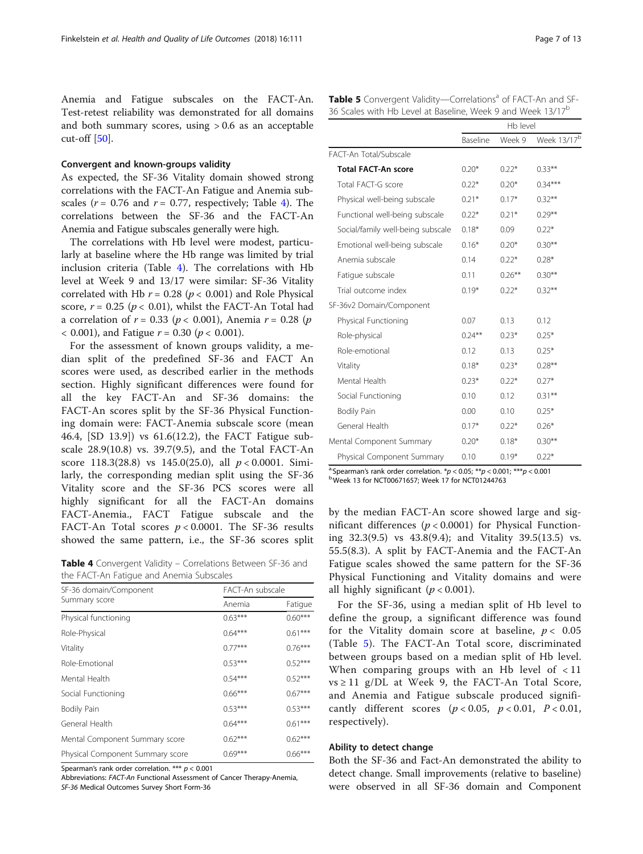Anemia and Fatigue subscales on the FACT-An. Test-retest reliability was demonstrated for all domains and both summary scores, using  $> 0.6$  as an acceptable cut-off  $[50]$  $[50]$ .

#### Convergent and known-groups validity

As expected, the SF-36 Vitality domain showed strong correlations with the FACT-An Fatigue and Anemia subscales ( $r = 0.76$  and  $r = 0.77$ , respectively; Table 4). The correlations between the SF-36 and the FACT-An Anemia and Fatigue subscales generally were high.

The correlations with Hb level were modest, particularly at baseline where the Hb range was limited by trial inclusion criteria (Table 4). The correlations with Hb level at Week 9 and 13/17 were similar: SF-36 Vitality correlated with Hb  $r = 0.28$  ( $p < 0.001$ ) and Role Physical score,  $r = 0.25$  ( $p < 0.01$ ), whilst the FACT-An Total had a correlation of  $r = 0.33$  ( $p < 0.001$ ), Anemia  $r = 0.28$  ( $p$ )  $(0.001)$ , and Fatigue  $r = 0.30$  ( $p < 0.001$ ).

For the assessment of known groups validity, a median split of the predefined SF-36 and FACT An scores were used, as described earlier in the methods section. Highly significant differences were found for all the key FACT-An and SF-36 domains: the FACT-An scores split by the SF-36 Physical Functioning domain were: FACT-Anemia subscale score (mean 46.4, [SD 13.9]) vs 61.6(12.2), the FACT Fatigue subscale 28.9(10.8) vs. 39.7(9.5), and the Total FACT-An score 118.3(28.8) vs 145.0(25.0), all  $p < 0.0001$ . Similarly, the corresponding median split using the SF-36 Vitality score and the SF-36 PCS scores were all highly significant for all the FACT-An domains FACT-Anemia., FACT Fatigue subscale and the FACT-An Total scores  $p < 0.0001$ . The SF-36 results showed the same pattern, i.e., the SF-36 scores split

Table 4 Convergent Validity – Correlations Between SF-36 and the FACT-An Fatigue and Anemia Subscales

| SF-36 domain/Component           | FACT-An subscale |           |
|----------------------------------|------------------|-----------|
| Summary score                    | Anemia           | Fatigue   |
| Physical functioning             | $0.63***$        | $0.60***$ |
| Role-Physical                    | $0.64***$        | $0.61***$ |
| Vitality                         | $0.77***$        | $0.76***$ |
| Role-Emotional                   | $0.53***$        | $0.52***$ |
| Mental Health                    | $0.54***$        | $0.52***$ |
| Social Functioning               | $0.66***$        | $0.67***$ |
| Bodily Pain                      | $0.53***$        | $0.53***$ |
| General Health                   | $0.64***$        | $0.61***$ |
| Mental Component Summary score   | $0.62***$        | $0.62***$ |
| Physical Component Summary score | $0.69***$        | $0.66***$ |

Spearman's rank order correlation. \*\*\*  $p < 0.001$ 

Abbreviations: FACT-An Functional Assessment of Cancer Therapy-Anemia, SF-36 Medical Outcomes Survey Short Form-36

| <b>Table 5</b> Convergent Validity—Correlations <sup>a</sup> of FACT-An and SF- |  |
|---------------------------------------------------------------------------------|--|
| 36 Scales with Hb Level at Baseline, Week 9 and Week 13/17 <sup>b</sup>         |  |

|                                   |           | Hb level  |                         |
|-----------------------------------|-----------|-----------|-------------------------|
|                                   | Baseline  | Week 9    | Week 13/17 <sup>b</sup> |
| <b>FACT-An Total/Subscale</b>     |           |           |                         |
| <b>Total FACT-An score</b>        | $0.20*$   | $0.22*$   | $0.33***$               |
| Total FACT-G score                | $0.22*$   | $0.20*$   | $0.34***$               |
| Physical well-being subscale      | $0.21*$   | $0.17*$   | $0.32***$               |
| Functional well-being subscale    | $0.22*$   | $0.21*$   | $0.29**$                |
| Social/family well-being subscale | $0.18*$   | 0.09      | $0.22*$                 |
| Emotional well-being subscale     | $0.16*$   | $0.20*$   | $0.30**$                |
| Anemia subscale                   | 0.14      | $0.22*$   | $0.28*$                 |
| Fatique subscale                  | 0.11      | $0.26***$ | $0.30**$                |
| Trial outcome index               | $0.19*$   | $0.22*$   | $0.32**$                |
| SF-36v2 Domain/Component          |           |           |                         |
| Physical Functioning              | 0.07      | 0.13      | 0.12                    |
| Role-physical                     | $0.24***$ | $0.23*$   | $0.25*$                 |
| Role-emotional                    | 0.12      | 0.13      | $0.25*$                 |
| Vitality                          | $0.18*$   | $0.23*$   | $0.28***$               |
| Mental Health                     | $0.23*$   | $0.22*$   | $0.27*$                 |
| Social Functioning                | 0.10      | 0.12      | $0.31***$               |
| <b>Bodily Pain</b>                | 0.00      | 0.10      | $0.25*$                 |
| General Health                    | $0.17*$   | $0.22*$   | $0.26*$                 |
| Mental Component Summary          | $0.20*$   | $0.18*$   | $0.30**$                |
| Physical Component Summary        | 0.10      | $0.19*$   | $0.22*$                 |

<sup>a.</sup>Spearman's rank order correlation. \*p < 0.05; \*\*p < 0.001; \*\*\*p < 0.001<br><sup>b.</sup>Week 13 for NCT00671657; Week 17 for NCT01244763

by the median FACT-An score showed large and significant differences ( $p < 0.0001$ ) for Physical Functioning 32.3(9.5) vs 43.8(9.4); and Vitality 39.5(13.5) vs. 55.5(8.3). A split by FACT-Anemia and the FACT-An Fatigue scales showed the same pattern for the SF-36 Physical Functioning and Vitality domains and were all highly significant  $(p < 0.001)$ .

For the SF-36, using a median split of Hb level to define the group, a significant difference was found for the Vitality domain score at baseline,  $p < 0.05$ (Table 5). The FACT-An Total score, discriminated between groups based on a median split of Hb level. When comparing groups with an Hb level of < 11  $vs \ge 11$  g/DL at Week 9, the FACT-An Total Score, and Anemia and Fatigue subscale produced significantly different scores  $(p < 0.05, p < 0.01, P < 0.01,$ respectively).

# Ability to detect change

Both the SF-36 and Fact-An demonstrated the ability to detect change. Small improvements (relative to baseline) were observed in all SF-36 domain and Component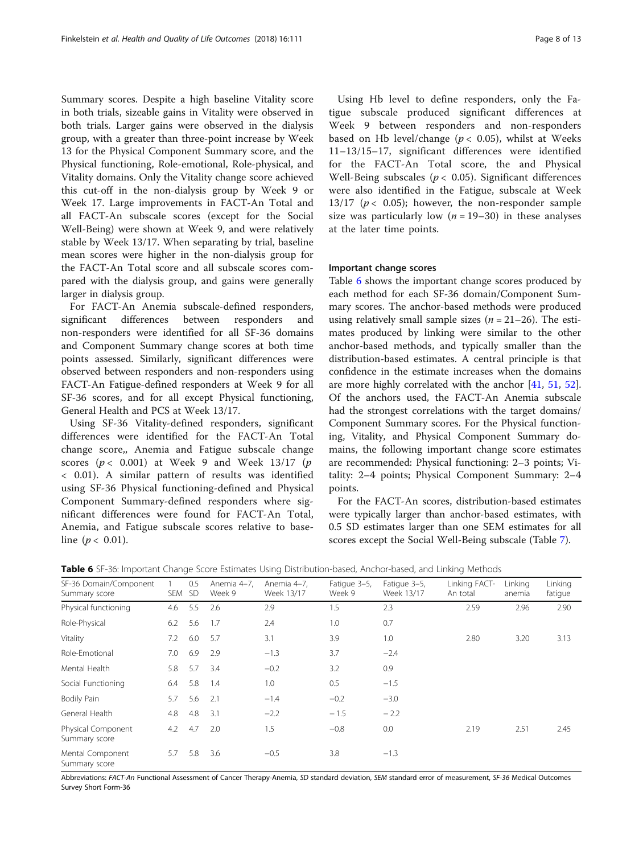Summary scores. Despite a high baseline Vitality score in both trials, sizeable gains in Vitality were observed in both trials. Larger gains were observed in the dialysis group, with a greater than three-point increase by Week 13 for the Physical Component Summary score, and the Physical functioning, Role-emotional, Role-physical, and Vitality domains. Only the Vitality change score achieved this cut-off in the non-dialysis group by Week 9 or Week 17. Large improvements in FACT-An Total and all FACT-An subscale scores (except for the Social Well-Being) were shown at Week 9, and were relatively stable by Week 13/17. When separating by trial, baseline mean scores were higher in the non-dialysis group for the FACT-An Total score and all subscale scores compared with the dialysis group, and gains were generally larger in dialysis group.

For FACT-An Anemia subscale-defined responders, significant differences between responders and non-responders were identified for all SF-36 domains and Component Summary change scores at both time points assessed. Similarly, significant differences were observed between responders and non-responders using FACT-An Fatigue-defined responders at Week 9 for all SF-36 scores, and for all except Physical functioning, General Health and PCS at Week 13/17.

Using SF-36 Vitality-defined responders, significant differences were identified for the FACT-An Total change score,, Anemia and Fatigue subscale change scores ( $p < 0.001$ ) at Week 9 and Week 13/17 ( $p$ < 0.01). A similar pattern of results was identified using SF-36 Physical functioning-defined and Physical Component Summary-defined responders where significant differences were found for FACT-An Total, Anemia, and Fatigue subscale scores relative to baseline ( $p < 0.01$ ).

Using Hb level to define responders, only the Fatigue subscale produced significant differences at Week 9 between responders and non-responders based on Hb level/change ( $p < 0.05$ ), whilst at Weeks 11–13/15–17, significant differences were identified for the FACT-An Total score, the and Physical Well-Being subscales ( $p < 0.05$ ). Significant differences were also identified in the Fatigue, subscale at Week 13/17 ( $p < 0.05$ ); however, the non-responder sample size was particularly low  $(n = 19-30)$  in these analyses at the later time points.

# Important change scores

Table 6 shows the important change scores produced by each method for each SF-36 domain/Component Summary scores. The anchor-based methods were produced using relatively small sample sizes ( $n = 21-26$ ). The estimates produced by linking were similar to the other anchor-based methods, and typically smaller than the distribution-based estimates. A central principle is that confidence in the estimate increases when the domains are more highly correlated with the anchor [\[41](#page-11-0), [51,](#page-11-0) [52](#page-11-0)]. Of the anchors used, the FACT-An Anemia subscale had the strongest correlations with the target domains/ Component Summary scores. For the Physical functioning, Vitality, and Physical Component Summary domains, the following important change score estimates are recommended: Physical functioning: 2–3 points; Vitality: 2–4 points; Physical Component Summary: 2–4 points.

For the FACT-An scores, distribution-based estimates were typically larger than anchor-based estimates, with 0.5 SD estimates larger than one SEM estimates for all scores except the Social Well-Being subscale (Table [7\)](#page-8-0).

| SF-36 Domain/Component<br>Summary score | SEM | 0.5<br><b>SD</b> | Anemia 4-7,<br>Week 9 | Anemia 4-7,<br>Week 13/17 | Fatigue 3-5,<br>Week 9 | Fatigue 3-5,<br>Week 13/17 | Linking FACT-<br>An total | Linking<br>anemia | Linking<br>fatique |
|-----------------------------------------|-----|------------------|-----------------------|---------------------------|------------------------|----------------------------|---------------------------|-------------------|--------------------|
| Physical functioning                    | 4.6 | 5.5              | 2.6                   | 2.9                       | 1.5                    | 2.3                        | 2.59                      | 2.96              | 2.90               |
| Role-Physical                           | 6.2 | 5.6              | -1.7                  | 2.4                       | 1.0                    | 0.7                        |                           |                   |                    |
| Vitality                                | 7.2 | 6.0              | 5.7                   | 3.1                       | 3.9                    | 1.0                        | 2.80                      | 3.20              | 3.13               |
| Role-Emotional                          | 7.0 | 6.9              | 2.9                   | $-1.3$                    | 3.7                    | $-2.4$                     |                           |                   |                    |
| Mental Health                           | 5.8 | 5.7              | 3.4                   | $-0.2$                    | 3.2                    | 0.9                        |                           |                   |                    |
| Social Functioning                      | 6.4 | 5.8              | 1.4                   | 1.0                       | 0.5                    | $-1.5$                     |                           |                   |                    |
| Bodily Pain                             | 5.7 | 5.6              | 2.1                   | $-1.4$                    | $-0.2$                 | $-3.0$                     |                           |                   |                    |
| General Health                          | 4.8 | 4.8              | 3.1                   | $-2.2$                    | $-1.5$                 | $-2.2$                     |                           |                   |                    |
| Physical Component<br>Summary score     | 4.2 | 4.7              | 2.0                   | 1.5                       | $-0.8$                 | $0.0\,$                    | 2.19                      | 2.51              | 2.45               |
| Mental Component<br>Summary score       | 5.7 | 5.8              | 3.6                   | $-0.5$                    | 3.8                    | $-1.3$                     |                           |                   |                    |

Table 6 SF-36: Important Change Score Estimates Using Distribution-based, Anchor-based, and Linking Methods

Abbreviations: FACT-An Functional Assessment of Cancer Therapy-Anemia, SD standard deviation, SEM standard error of measurement, SF-36 Medical Outcomes Survey Short Form-36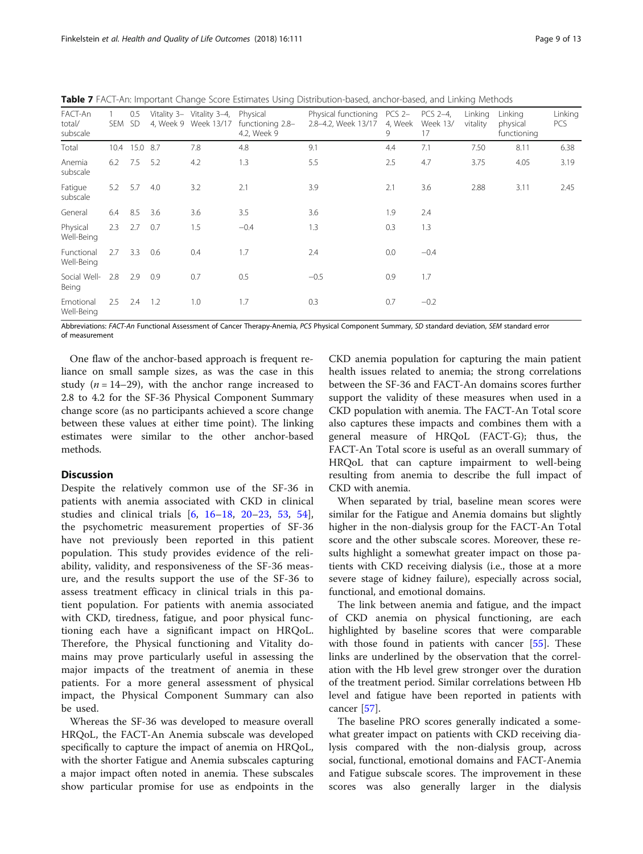| FACT-An<br>total/<br>subscale | SEM SD | 0.5           |     | Vitality 3- Vitality 3-4,<br>4, Week 9 Week 13/17 | Physical<br>functioning 2.8-<br>4.2, Week 9 | Physical functioning<br>2.8-4.2, Week 13/17 | $PCS$ 2-<br>4, Week<br>9 | PCS 2-4,<br><b>Week 13/</b><br>17 | Linking<br>vitality | Linking<br>physical<br>functioning | Linking<br>PCS |
|-------------------------------|--------|---------------|-----|---------------------------------------------------|---------------------------------------------|---------------------------------------------|--------------------------|-----------------------------------|---------------------|------------------------------------|----------------|
| Total                         |        | 10.4 15.0 8.7 |     | 7.8                                               | 4.8                                         | 9.1                                         | 4.4                      | 7.1                               | 7.50                | 8.11                               | 6.38           |
| Anemia<br>subscale            | 6.2    | 7.5           | 5.2 | 4.2                                               | 1.3                                         | 5.5                                         | 2.5                      | 4.7                               | 3.75                | 4.05                               | 3.19           |
| Fatigue<br>subscale           | 5.2    | 5.7           | 4.0 | 3.2                                               | 2.1                                         | 3.9                                         | 2.1                      | 3.6                               | 2.88                | 3.11                               | 2.45           |
| General                       | 6.4    | 8.5           | 3.6 | 3.6                                               | 3.5                                         | 3.6                                         | 1.9                      | 2.4                               |                     |                                    |                |
| Physical<br>Well-Being        | 2.3    | 2.7           | 0.7 | 1.5                                               | $-0.4$                                      | 1.3                                         | 0.3                      | 1.3                               |                     |                                    |                |
| Functional<br>Well-Being      | 2.7    | 3.3           | 0.6 | 0.4                                               | 1.7                                         | 2.4                                         | 0.0                      | $-0.4$                            |                     |                                    |                |
| Social Well-<br>Being         | 2.8    | 2.9           | 0.9 | 0.7                                               | 0.5                                         | $-0.5$                                      | 0.9                      | 1.7                               |                     |                                    |                |
| Emotional<br>Well-Being       | 2.5    | 2.4           | 1.2 | 1.0                                               | 1.7                                         | 0.3                                         | 0.7                      | $-0.2$                            |                     |                                    |                |

<span id="page-8-0"></span>Table 7 FACT-An: Important Change Score Estimates Using Distribution-based, anchor-based, and Linking Methods

Abbreviations: FACT-An Functional Assessment of Cancer Therapy-Anemia, PCS Physical Component Summary, SD standard deviation, SEM standard error of measurement

One flaw of the anchor-based approach is frequent reliance on small sample sizes, as was the case in this study  $(n = 14-29)$ , with the anchor range increased to 2.8 to 4.2 for the SF-36 Physical Component Summary change score (as no participants achieved a score change between these values at either time point). The linking estimates were similar to the other anchor-based methods.

# **Discussion**

Despite the relatively common use of the SF-36 in patients with anemia associated with CKD in clinical studies and clinical trials [[6,](#page-10-0) [16](#page-11-0)–[18,](#page-11-0) [20](#page-11-0)–[23](#page-11-0), [53](#page-11-0), [54](#page-11-0)], the psychometric measurement properties of SF-36 have not previously been reported in this patient population. This study provides evidence of the reliability, validity, and responsiveness of the SF-36 measure, and the results support the use of the SF-36 to assess treatment efficacy in clinical trials in this patient population. For patients with anemia associated with CKD, tiredness, fatigue, and poor physical functioning each have a significant impact on HRQoL. Therefore, the Physical functioning and Vitality domains may prove particularly useful in assessing the major impacts of the treatment of anemia in these patients. For a more general assessment of physical impact, the Physical Component Summary can also be used.

Whereas the SF-36 was developed to measure overall HRQoL, the FACT-An Anemia subscale was developed specifically to capture the impact of anemia on HRQoL, with the shorter Fatigue and Anemia subscales capturing a major impact often noted in anemia. These subscales show particular promise for use as endpoints in the

CKD anemia population for capturing the main patient health issues related to anemia; the strong correlations between the SF-36 and FACT-An domains scores further support the validity of these measures when used in a CKD population with anemia. The FACT-An Total score also captures these impacts and combines them with a general measure of HRQoL (FACT-G); thus, the FACT-An Total score is useful as an overall summary of HRQoL that can capture impairment to well-being resulting from anemia to describe the full impact of CKD with anemia.

When separated by trial, baseline mean scores were similar for the Fatigue and Anemia domains but slightly higher in the non-dialysis group for the FACT-An Total score and the other subscale scores. Moreover, these results highlight a somewhat greater impact on those patients with CKD receiving dialysis (i.e., those at a more severe stage of kidney failure), especially across social, functional, and emotional domains.

The link between anemia and fatigue, and the impact of CKD anemia on physical functioning, are each highlighted by baseline scores that were comparable with those found in patients with cancer [[55\]](#page-12-0). These links are underlined by the observation that the correlation with the Hb level grew stronger over the duration of the treatment period. Similar correlations between Hb level and fatigue have been reported in patients with cancer [[57](#page-12-0)].

The baseline PRO scores generally indicated a somewhat greater impact on patients with CKD receiving dialysis compared with the non-dialysis group, across social, functional, emotional domains and FACT-Anemia and Fatigue subscale scores. The improvement in these scores was also generally larger in the dialysis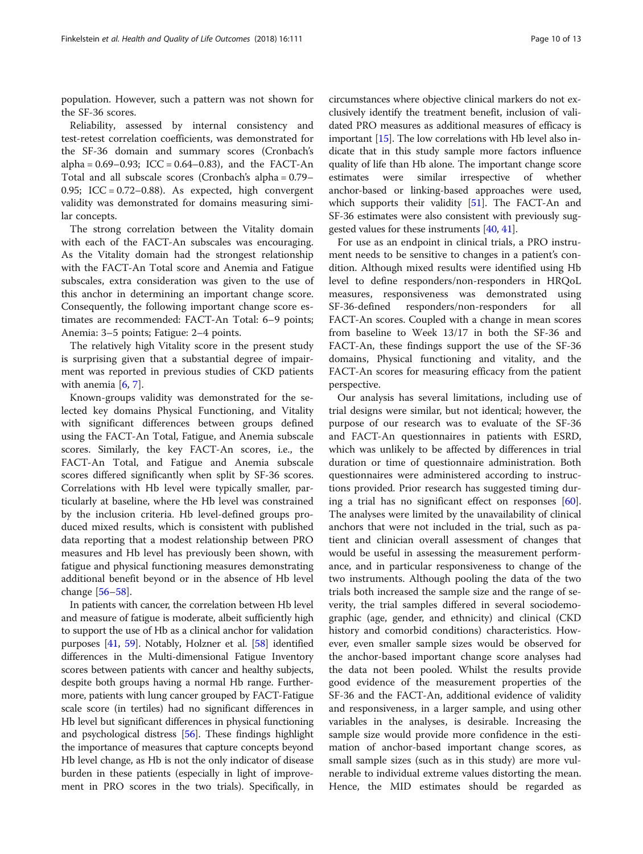population. However, such a pattern was not shown for the SF-36 scores.

Reliability, assessed by internal consistency and test-retest correlation coefficients, was demonstrated for the SF-36 domain and summary scores (Cronbach's alpha =  $0.69 - 0.93$ ; ICC =  $0.64 - 0.83$ ), and the FACT-An Total and all subscale scores (Cronbach's alpha = 0.79– 0.95; ICC =  $0.72-0.88$ ). As expected, high convergent validity was demonstrated for domains measuring similar concepts.

The strong correlation between the Vitality domain with each of the FACT-An subscales was encouraging. As the Vitality domain had the strongest relationship with the FACT-An Total score and Anemia and Fatigue subscales, extra consideration was given to the use of this anchor in determining an important change score. Consequently, the following important change score estimates are recommended: FACT-An Total: 6–9 points; Anemia: 3–5 points; Fatigue: 2–4 points.

The relatively high Vitality score in the present study is surprising given that a substantial degree of impairment was reported in previous studies of CKD patients with anemia [[6,](#page-10-0) [7\]](#page-10-0).

Known-groups validity was demonstrated for the selected key domains Physical Functioning, and Vitality with significant differences between groups defined using the FACT-An Total, Fatigue, and Anemia subscale scores. Similarly, the key FACT-An scores, i.e., the FACT-An Total, and Fatigue and Anemia subscale scores differed significantly when split by SF-36 scores. Correlations with Hb level were typically smaller, particularly at baseline, where the Hb level was constrained by the inclusion criteria. Hb level-defined groups produced mixed results, which is consistent with published data reporting that a modest relationship between PRO measures and Hb level has previously been shown, with fatigue and physical functioning measures demonstrating additional benefit beyond or in the absence of Hb level change [\[56](#page-12-0)–[58](#page-12-0)].

In patients with cancer, the correlation between Hb level and measure of fatigue is moderate, albeit sufficiently high to support the use of Hb as a clinical anchor for validation purposes [[41](#page-11-0), [59](#page-12-0)]. Notably, Holzner et al. [\[58\]](#page-12-0) identified differences in the Multi-dimensional Fatigue Inventory scores between patients with cancer and healthy subjects, despite both groups having a normal Hb range. Furthermore, patients with lung cancer grouped by FACT-Fatigue scale score (in tertiles) had no significant differences in Hb level but significant differences in physical functioning and psychological distress [\[56\]](#page-12-0). These findings highlight the importance of measures that capture concepts beyond Hb level change, as Hb is not the only indicator of disease burden in these patients (especially in light of improvement in PRO scores in the two trials). Specifically, in

circumstances where objective clinical markers do not exclusively identify the treatment benefit, inclusion of validated PRO measures as additional measures of efficacy is important [[15](#page-11-0)]. The low correlations with Hb level also indicate that in this study sample more factors influence quality of life than Hb alone. The important change score estimates were similar irrespective of whether anchor-based or linking-based approaches were used, which supports their validity [\[51](#page-11-0)]. The FACT-An and SF-36 estimates were also consistent with previously sug-

For use as an endpoint in clinical trials, a PRO instrument needs to be sensitive to changes in a patient's condition. Although mixed results were identified using Hb level to define responders/non-responders in HRQoL measures, responsiveness was demonstrated using SF-36-defined responders/non-responders for all FACT-An scores. Coupled with a change in mean scores from baseline to Week 13/17 in both the SF-36 and FACT-An, these findings support the use of the SF-36 domains, Physical functioning and vitality, and the FACT-An scores for measuring efficacy from the patient perspective.

gested values for these instruments [[40](#page-11-0), [41\]](#page-11-0).

Our analysis has several limitations, including use of trial designs were similar, but not identical; however, the purpose of our research was to evaluate of the SF-36 and FACT-An questionnaires in patients with ESRD, which was unlikely to be affected by differences in trial duration or time of questionnaire administration. Both questionnaires were administered according to instructions provided. Prior research has suggested timing during a trial has no significant effect on responses [\[60](#page-12-0)]. The analyses were limited by the unavailability of clinical anchors that were not included in the trial, such as patient and clinician overall assessment of changes that would be useful in assessing the measurement performance, and in particular responsiveness to change of the two instruments. Although pooling the data of the two trials both increased the sample size and the range of severity, the trial samples differed in several sociodemographic (age, gender, and ethnicity) and clinical (CKD history and comorbid conditions) characteristics. However, even smaller sample sizes would be observed for the anchor-based important change score analyses had the data not been pooled. Whilst the results provide good evidence of the measurement properties of the SF-36 and the FACT-An, additional evidence of validity and responsiveness, in a larger sample, and using other variables in the analyses, is desirable. Increasing the sample size would provide more confidence in the estimation of anchor-based important change scores, as small sample sizes (such as in this study) are more vulnerable to individual extreme values distorting the mean. Hence, the MID estimates should be regarded as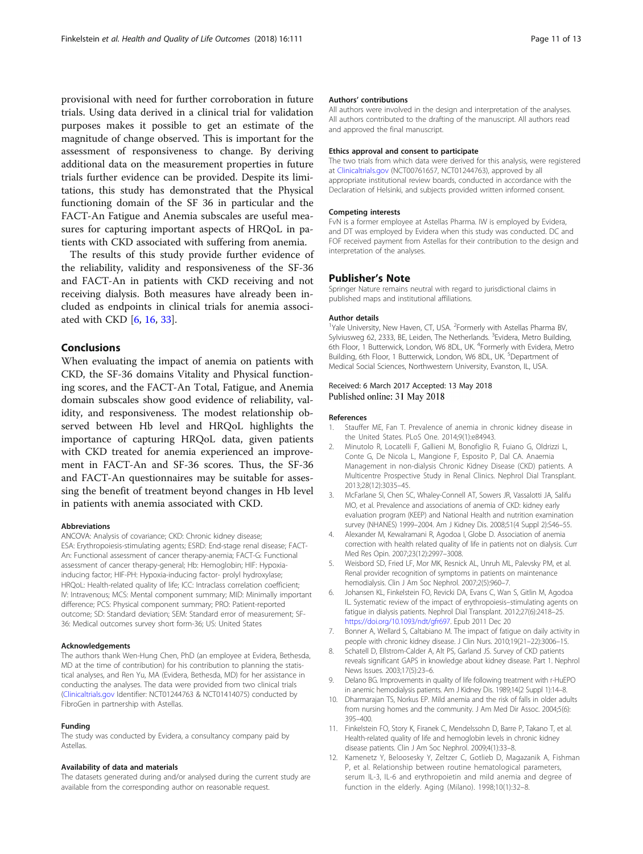<span id="page-10-0"></span>provisional with need for further corroboration in future trials. Using data derived in a clinical trial for validation purposes makes it possible to get an estimate of the magnitude of change observed. This is important for the assessment of responsiveness to change. By deriving additional data on the measurement properties in future trials further evidence can be provided. Despite its limitations, this study has demonstrated that the Physical functioning domain of the SF 36 in particular and the FACT-An Fatigue and Anemia subscales are useful measures for capturing important aspects of HRQoL in patients with CKD associated with suffering from anemia.

The results of this study provide further evidence of the reliability, validity and responsiveness of the SF-36 and FACT-An in patients with CKD receiving and not receiving dialysis. Both measures have already been included as endpoints in clinical trials for anemia associated with CKD [6, [16,](#page-11-0) [33\]](#page-11-0).

# Conclusions

When evaluating the impact of anemia on patients with CKD, the SF-36 domains Vitality and Physical functioning scores, and the FACT-An Total, Fatigue, and Anemia domain subscales show good evidence of reliability, validity, and responsiveness. The modest relationship observed between Hb level and HRQoL highlights the importance of capturing HRQoL data, given patients with CKD treated for anemia experienced an improvement in FACT-An and SF-36 scores. Thus, the SF-36 and FACT-An questionnaires may be suitable for assessing the benefit of treatment beyond changes in Hb level in patients with anemia associated with CKD.

#### Abbreviations

ANCOVA: Analysis of covariance; CKD: Chronic kidney disease; ESA: Erythropoiesis-stimulating agents; ESRD: End-stage renal disease; FACT-An: Functional assessment of cancer therapy-anemia; FACT-G: Functional assessment of cancer therapy-general; Hb: Hemoglobin; HIF: Hypoxiainducing factor; HIF-PH: Hypoxia-inducing factor- prolyl hydroxylase; HRQoL: Health-related quality of life; ICC: Intraclass correlation coefficient; IV: Intravenous; MCS: Mental component summary; MID: Minimally important difference; PCS: Physical component summary; PRO: Patient-reported outcome; SD: Standard deviation; SEM: Standard error of measurement; SF-36: Medical outcomes survey short form-36; US: United States

#### Acknowledgements

The authors thank Wen-Hung Chen, PhD (an employee at Evidera, Bethesda, MD at the time of contribution) for his contribution to planning the statistical analyses, and Ren Yu, MA (Evidera, Bethesda, MD) for her assistance in conducting the analyses. The data were provided from two clinical trials ([Clinicaltrials.gov](http://clinicaltrials.gov) Identifier: NCT01244763 & NCT01414075) conducted by FibroGen in partnership with Astellas.

#### Funding

The study was conducted by Evidera, a consultancy company paid by Astellas.

#### Availability of data and materials

The datasets generated during and/or analysed during the current study are available from the corresponding author on reasonable request.

#### Authors' contributions

All authors were involved in the design and interpretation of the analyses. All authors contributed to the drafting of the manuscript. All authors read and approved the final manuscript.

# Ethics approval and consent to participate

The two trials from which data were derived for this analysis, were registered at [Clinicaltrials.gov](http://clinicaltrials.gov) (NCT00761657, NCT01244763), approved by all appropriate institutional review boards, conducted in accordance with the Declaration of Helsinki, and subjects provided written informed consent.

#### Competing interests

FvN is a former employee at Astellas Pharma. IW is employed by Evidera, and DT was employed by Evidera when this study was conducted. DC and FOF received payment from Astellas for their contribution to the design and interpretation of the analyses.

#### Publisher's Note

Springer Nature remains neutral with regard to jurisdictional claims in published maps and institutional affiliations.

#### Author details

<sup>1</sup>Yale University, New Haven, CT, USA. <sup>2</sup>Formerly with Astellas Pharma BV Sylviusweg 62, 2333, BE, Leiden, The Netherlands. <sup>3</sup>Evidera, Metro Building, 6th Floor, 1 Butterwick, London, W6 8DL, UK. <sup>4</sup>Formerly with Evidera, Metro Building, 6th Floor, 1 Butterwick, London, W6 8DL, UK. <sup>5</sup>Department of Medical Social Sciences, Northwestern University, Evanston, IL, USA.

#### Received: 6 March 2017 Accepted: 13 May 2018 Published online: 31 May 2018

#### References

- 1. Stauffer ME, Fan T. Prevalence of anemia in chronic kidney disease in the United States. PLoS One. 2014;9(1):e84943.
- 2. Minutolo R, Locatelli F, Gallieni M, Bonofiglio R, Fuiano G, Oldrizzi L, Conte G, De Nicola L, Mangione F, Esposito P, Dal CA. Anaemia Management in non-dialysis Chronic Kidney Disease (CKD) patients. A Multicentre Prospective Study in Renal Clinics. Nephrol Dial Transplant. 2013;28(12):3035–45.
- 3. McFarlane SI, Chen SC, Whaley-Connell AT, Sowers JR, Vassalotti JA, Salifu MO, et al. Prevalence and associations of anemia of CKD: kidney early evaluation program (KEEP) and National Health and nutrition examination survey (NHANES) 1999–2004. Am J Kidney Dis. 2008;51(4 Suppl 2):S46–55.
- 4. Alexander M, Kewalramani R, Agodoa I, Globe D. Association of anemia correction with health related quality of life in patients not on dialysis. Curr Med Res Opin. 2007;23(12):2997–3008.
- 5. Weisbord SD, Fried LF, Mor MK, Resnick AL, Unruh ML, Palevsky PM, et al. Renal provider recognition of symptoms in patients on maintenance hemodialysis. Clin J Am Soc Nephrol. 2007;2(5):960–7.
- 6. Johansen KL, Finkelstein FO, Revicki DA, Evans C, Wan S, Gitlin M, Agodoa IL. Systematic review of the impact of erythropoiesis–stimulating agents on fatigue in dialysis patients. Nephrol Dial Transplant. 2012;27(6):2418–25. <https://doi.org/10.1093/ndt/gfr697>. Epub 2011 Dec 20
- Bonner A, Wellard S, Caltabiano M. The impact of fatigue on daily activity in people with chronic kidney disease. J Clin Nurs. 2010;19(21–22):3006–15.
- 8. Schatell D, Ellstrom-Calder A, Alt PS, Garland JS. Survey of CKD patients reveals significant GAPS in knowledge about kidney disease. Part 1. Nephrol News Issues. 2003;17(5):23–6.
- 9. Delano BG. Improvements in quality of life following treatment with r-HuEPO in anemic hemodialysis patients. Am J Kidney Dis. 1989;14(2 Suppl 1):14–8.
- 10. Dharmarajan TS, Norkus EP. Mild anemia and the risk of falls in older adults from nursing homes and the community. J Am Med Dir Assoc. 2004;5(6): 395–400.
- 11. Finkelstein FO, Story K, Firanek C, Mendelssohn D, Barre P, Takano T, et al. Health-related quality of life and hemoglobin levels in chronic kidney disease patients. Clin J Am Soc Nephrol. 2009;4(1):33–8.
- 12. Kamenetz Y, Beloosesky Y, Zeltzer C, Gotlieb D, Magazanik A, Fishman P, et al. Relationship between routine hematological parameters, serum IL-3, IL-6 and erythropoietin and mild anemia and degree of function in the elderly. Aging (Milano). 1998;10(1):32–8.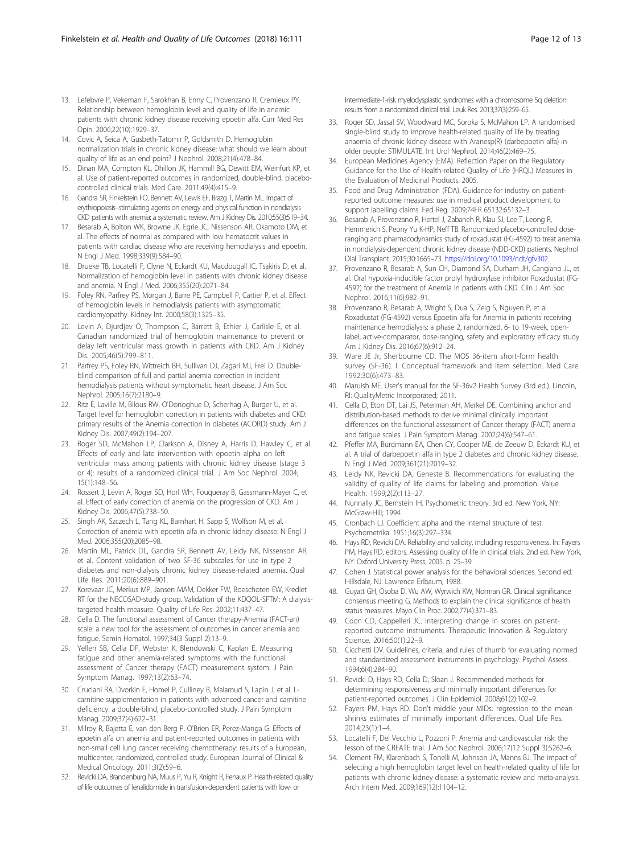- <span id="page-11-0"></span>13. Lefebvre P, Vekeman F, Sarokhan B, Enny C, Provenzano R, Cremieux PY. Relationship between hemoglobin level and quality of life in anemic patients with chronic kidney disease receiving epoetin alfa. Curr Med Res Opin. 2006;22(10):1929–37.
- 14. Covic A, Seica A, Gusbeth-Tatomir P, Goldsmith D. Hemoglobin normalization trials in chronic kidney disease: what should we learn about quality of life as an end point? J Nephrol. 2008;21(4):478–84.
- 15. Dinan MA, Compton KL, Dhillon JK, Hammill BG, Dewitt EM, Weinfurt KP, et al. Use of patient-reported outcomes in randomized, double-blind, placebocontrolled clinical trials. Med Care. 2011;49(4):415–9.
- 16. Gandra SR, Finkelstein FO, Bennett AV, Lewis EF, Brazg T, Martin ML. Impact of erythropoiesis–stimulating agents on energy and physical function in nondialysis CKD patients with anemia: a systematic review. Am J Kidney Dis. 2010;55(3):519–34.
- 17. Besarab A, Bolton WK, Browne JK, Egrie JC, Nissenson AR, Okamoto DM, et al. The effects of normal as compared with low hematocrit values in patients with cardiac disease who are receiving hemodialysis and epoetin. N Engl J Med. 1998;339(9):584–90.
- 18. Drueke TB, Locatelli F, Clyne N, Eckardt KU, Macdougall IC, Tsakiris D, et al. Normalization of hemoglobin level in patients with chronic kidney disease and anemia. N Engl J Med. 2006;355(20):2071–84.
- 19. Foley RN, Parfrey PS, Morgan J, Barre PE, Campbell P, Cartier P, et al. Effect of hemoglobin levels in hemodialysis patients with asymptomatic cardiomyopathy. Kidney Int. 2000;58(3):1325–35.
- 20. Levin A, Djurdjev O, Thompson C, Barrett B, Ethier J, Carlisle E, et al. Canadian randomized trial of hemoglobin maintenance to prevent or delay left ventricular mass growth in patients with CKD. Am J Kidney Dis. 2005;46(5):799–811.
- 21. Parfrey PS, Foley RN, Wittreich BH, Sullivan DJ, Zagari MJ, Frei D. Doubleblind comparison of full and partial anemia correction in incident hemodialysis patients without symptomatic heart disease. J Am Soc Nephrol. 2005;16(7):2180–9.
- 22. Ritz E, Laville M, Bilous RW, O'Donoghue D, Scherhag A, Burger U, et al. Target level for hemoglobin correction in patients with diabetes and CKD: primary results of the Anemia correction in diabetes (ACORD) study. Am J Kidney Dis. 2007;49(2):194–207.
- 23. Roger SD, McMahon LP, Clarkson A, Disney A, Harris D, Hawley C, et al. Effects of early and late intervention with epoetin alpha on left ventricular mass among patients with chronic kidney disease (stage 3 or 4): results of a randomized clinical trial. J Am Soc Nephrol. 2004; 15(1):148–56.
- 24. Rossert J, Levin A, Roger SD, Horl WH, Fouqueray B, Gassmann-Mayer C, et al. Effect of early correction of anemia on the progression of CKD. Am J Kidney Dis. 2006;47(5):738–50.
- 25. Singh AK, Szczech L, Tang KL, Barnhart H, Sapp S, Wolfson M, et al. Correction of anemia with epoetin alfa in chronic kidney disease. N Engl J Med. 2006;355(20):2085–98.
- 26. Martin ML, Patrick DL, Gandra SR, Bennett AV, Leidy NK, Nissenson AR, et al. Content validation of two SF-36 subscales for use in type 2 diabetes and non-dialysis chronic kidney disease-related anemia. Qual Life Res. 2011;20(6):889–901.
- 27. Korevaar JC, Merkus MP, Jansen MAM, Dekker FW, Boeschoten EW, Krediet RT for the NECOSAD-study group. Validation of the KDQOL-SFTM: A dialysistargeted health measure. Quality of Life Res. 2002;11:437–47.
- 28. Cella D. The functional assessment of Cancer therapy-Anemia (FACT-an) scale: a new tool for the assessment of outcomes in cancer anemia and fatigue. Semin Hematol. 1997;34(3 Suppl 2):13–9.
- 29. Yellen SB, Cella DF, Webster K, Blendowski C, Kaplan E. Measuring fatigue and other anemia-related symptoms with the functional assessment of Cancer therapy (FACT) measurement system. J Pain Symptom Manag. 1997;13(2):63–74.
- 30. Cruciani RA, Dvorkin E, Homel P, Culliney B, Malamud S, Lapin J, et al. Lcarnitine supplementation in patients with advanced cancer and carnitine deficiency: a double-blind, placebo-controlled study. J Pain Symptom Manag. 2009;37(4):622–31.
- 31. Milroy R, Bajetta E, van den Berg P, O'Brien ER, Perez-Manga G. Effects of epoetin alfa on anemia and patient-reported outcomes in patients with non-small cell lung cancer receiving chemotherapy: results of a European, multicenter, randomized, controlled study. European Journal of Clinical & Medical Oncology. 2011;3(2):59–6.
- 32. Revicki DA, Brandenburg NA, Muus P, Yu R, Knight R, Fenaux P. Health-related quality of life outcomes of lenalidomide in transfusion-dependent patients with low- or

Intermediate-1-risk myelodysplastic syndromes with a chromosome 5q deletion: results from a randomized clinical trial. Leuk Res. 2013;37(3):259–65.

- 33. Roger SD, Jassal SV, Woodward MC, Soroka S, McMahon LP. A randomised single-blind study to improve health-related quality of life by treating anaemia of chronic kidney disease with Aranesp(R) (darbepoetin alfa) in older people: STIMULATE. Int Urol Nephrol. 2014;46(2):469–75.
- 34. European Medicines Agency (EMA). Reflection Paper on the Regulatory Guidance for the Use of Health-related Quality of Life (HRQL) Measures in the Evaluation of Medicinal Products. 2005.
- 35. Food and Drug Administration (FDA). Guidance for industry on patientreported outcome measures: use in medical product development to support labelling claims. Fed Reg. 2009;74FR 65132:65132–3.
- 36. Besarab A, Provenzano R, Hertel J, Zabaneh R, Klau SJ, Lee T, Leong R, Hemmerich S, Peony Yu K-HP, Neff TB. Randomized placebo-controlled doseranging and pharmacodynamics study of roxadustat (FG-4592) to treat anemia in nondialysis-dependent chronic kidney disease (NDD-CKD) patients. Nephrol Dial Transplant. 2015;30:1665–73. [https://doi.org/10.1093/ndt/gfv302.](https://doi.org/10.1093/ndt/gfv302)
- 37. Provenzano R, Besarab A, Sun CH, Diamond SA, Durham JH, Cangiano JL, et al. Oral hypoxia-inducible factor prolyl hydroxylase inhibitor Roxadustat (FG-4592) for the treatment of Anemia in patients with CKD. Clin J Am Soc Nephrol. 2016;11(6):982–91.
- Provenzano R, Besarab A, Wright S, Dua S, Zeig S, Nguyen P, et al. Roxadustat (FG-4592) versus Epoetin alfa for Anemia in patients receiving maintenance hemodialysis: a phase 2, randomized, 6- to 19-week, openlabel, active-comparator, dose-ranging, safety and exploratory efficacy study. Am J Kidney Dis. 2016;67(6):912–24.
- 39. Ware JE Jr, Sherbourne CD. The MOS 36-item short-form health survey (SF-36). I. Conceptual framework and item selection. Med Care. 1992;30(6):473–83.
- 40. Maruish ME. User's manual for the SF-36v2 Health Survey (3rd ed.). Lincoln, RI: QualityMetric Incorporated; 2011.
- 41. Cella D, Eton DT, Lai JS, Peterman AH, Merkel DE. Combining anchor and distribution-based methods to derive minimal clinically important differences on the functional assessment of Cancer therapy (FACT) anemia and fatigue scales. J Pain Symptom Manag. 2002;24(6):547–61.
- 42. Pfeffer MA, Burdmann EA, Chen CY, Cooper ME, de Zeeuw D, Eckardt KU, et al. A trial of darbepoetin alfa in type 2 diabetes and chronic kidney disease. N Engl J Med. 2009;361(21):2019–32.
- 43. Leidy NK, Revicki DA, Geneste B. Recommendations for evaluating the validity of quality of life claims for labeling and promotion. Value Health. 1999;2(2):113–27.
- 44. Nunnally JC, Bernstein IH. Psychometric theory. 3rd ed. New York, NY: McGraw-Hill; 1994.
- 45. Cronbach LJ. Coefficient alpha and the internal structure of test. Psychometrika. 1951;16(3):297–334.
- 46. Hays RD, Revicki DA. Reliability and validity, including responsiveness. In: Fayers PM, Hays RD, editors. Assessing quality of life in clinical trials. 2nd ed. New York, NY: Oxford University Press; 2005. p. 25–39.
- 47. Cohen J. Statistical power analysis for the behavioral sciences. Second ed. Hillsdale, NJ: Lawrence Erlbaum; 1988.
- 48. Guyatt GH, Osoba D, Wu AW, Wyrwich KW, Norman GR. Clinical significance consensus meeting G. Methods to explain the clinical significance of health status measures. Mayo Clin Proc. 2002;77(4):371–83.
- 49. Coon CD, Cappelleri JC. Interpreting change in scores on patientreported outcome instruments. Therapeutic Innovation & Regulatory Science. 2016;50(1):22–9.
- 50. Cicchetti DV. Guidelines, criteria, and rules of thumb for evaluating normed and standardized assessment instruments in psychology. Psychol Assess. 1994;6(4):284–90.
- 51. Revicki D, Hays RD, Cella D, Sloan J. Recommended methods for determining responsiveness and minimally important differences for patient-reported outcomes. J Clin Epidemiol. 2008;61(2):102–9.
- 52. Fayers PM, Hays RD. Don't middle your MIDs: regression to the mean shrinks estimates of minimally important differences. Qual Life Res. 2014;23(1):1–4.
- 53. Locatelli F, Del Vecchio L, Pozzoni P. Anemia and cardiovascular risk: the lesson of the CREATE trial. J Am Soc Nephrol. 2006;17(12 Suppl 3):S262–6.
- 54. Clement FM, Klarenbach S, Tonelli M, Johnson JA, Manns BJ. The impact of selecting a high hemoglobin target level on health-related quality of life for patients with chronic kidney disease: a systematic review and meta-analysis. Arch Intern Med. 2009;169(12):1104–12.